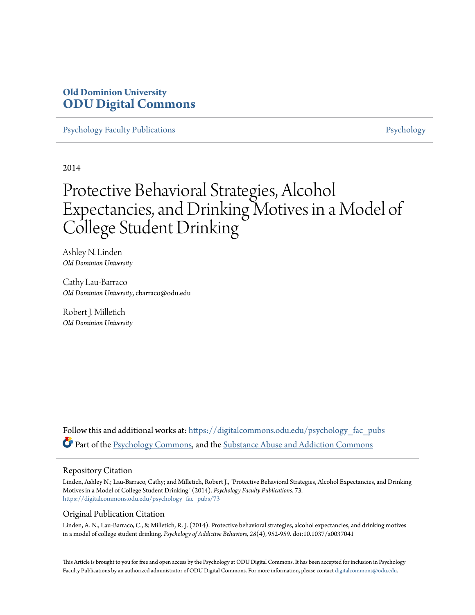# **Old Dominion University [ODU Digital Commons](https://digitalcommons.odu.edu?utm_source=digitalcommons.odu.edu%2Fpsychology_fac_pubs%2F73&utm_medium=PDF&utm_campaign=PDFCoverPages)**

[Psychology Faculty Publications](https://digitalcommons.odu.edu/psychology_fac_pubs?utm_source=digitalcommons.odu.edu%2Fpsychology_fac_pubs%2F73&utm_medium=PDF&utm_campaign=PDFCoverPages) **[Psychology](https://digitalcommons.odu.edu/psychology?utm_source=digitalcommons.odu.edu%2Fpsychology_fac_pubs%2F73&utm_medium=PDF&utm_campaign=PDFCoverPages)** Psychology

2014

# Protective Behavioral Strategies, Alcohol Expectancies, and Drinking Motives in a Model of College Student Drinking

Ashley N. Linden *Old Dominion University*

Cathy Lau-Barraco *Old Dominion University*, cbarraco@odu.edu

Robert J. Milletich *Old Dominion University*

Follow this and additional works at: [https://digitalcommons.odu.edu/psychology\\_fac\\_pubs](https://digitalcommons.odu.edu/psychology_fac_pubs?utm_source=digitalcommons.odu.edu%2Fpsychology_fac_pubs%2F73&utm_medium=PDF&utm_campaign=PDFCoverPages) Part of the [Psychology Commons](http://network.bepress.com/hgg/discipline/404?utm_source=digitalcommons.odu.edu%2Fpsychology_fac_pubs%2F73&utm_medium=PDF&utm_campaign=PDFCoverPages), and the [Substance Abuse and Addiction Commons](http://network.bepress.com/hgg/discipline/710?utm_source=digitalcommons.odu.edu%2Fpsychology_fac_pubs%2F73&utm_medium=PDF&utm_campaign=PDFCoverPages)

#### Repository Citation

Linden, Ashley N.; Lau-Barraco, Cathy; and Milletich, Robert J., "Protective Behavioral Strategies, Alcohol Expectancies, and Drinking Motives in a Model of College Student Drinking" (2014). *Psychology Faculty Publications*. 73. [https://digitalcommons.odu.edu/psychology\\_fac\\_pubs/73](https://digitalcommons.odu.edu/psychology_fac_pubs/73?utm_source=digitalcommons.odu.edu%2Fpsychology_fac_pubs%2F73&utm_medium=PDF&utm_campaign=PDFCoverPages)

## Original Publication Citation

Linden, A. N., Lau-Barraco, C., & Milletich, R. J. (2014). Protective behavioral strategies, alcohol expectancies, and drinking motives in a model of college student drinking. *Psychology of Addictive Behaviors, 28*(4), 952-959. doi:10.1037/a0037041

This Article is brought to you for free and open access by the Psychology at ODU Digital Commons. It has been accepted for inclusion in Psychology Faculty Publications by an authorized administrator of ODU Digital Commons. For more information, please contact [digitalcommons@odu.edu.](mailto:digitalcommons@odu.edu)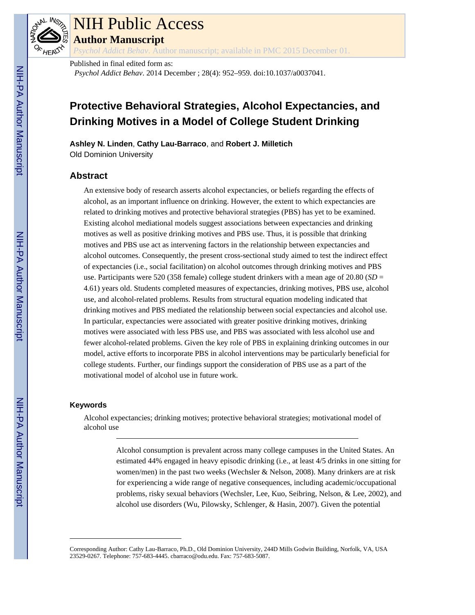

# NIH Public Access

**Author Manuscript**

*Psychol Addict Behav*. Author manuscript; available in PMC 2015 December 01.

Published in final edited form as: *Psychol Addict Behav*. 2014 December ; 28(4): 952–959. doi:10.1037/a0037041.

# **Protective Behavioral Strategies, Alcohol Expectancies, and Drinking Motives in a Model of College Student Drinking**

**Ashley N. Linden**, **Cathy Lau-Barraco**, and **Robert J. Milletich** Old Dominion University

## **Abstract**

An extensive body of research asserts alcohol expectancies, or beliefs regarding the effects of alcohol, as an important influence on drinking. However, the extent to which expectancies are related to drinking motives and protective behavioral strategies (PBS) has yet to be examined. Existing alcohol mediational models suggest associations between expectancies and drinking motives as well as positive drinking motives and PBS use. Thus, it is possible that drinking motives and PBS use act as intervening factors in the relationship between expectancies and alcohol outcomes. Consequently, the present cross-sectional study aimed to test the indirect effect of expectancies (i.e., social facilitation) on alcohol outcomes through drinking motives and PBS use. Participants were 520 (358 female) college student drinkers with a mean age of 20.80 (*SD* = 4.61) years old. Students completed measures of expectancies, drinking motives, PBS use, alcohol use, and alcohol-related problems. Results from structural equation modeling indicated that drinking motives and PBS mediated the relationship between social expectancies and alcohol use. In particular, expectancies were associated with greater positive drinking motives, drinking motives were associated with less PBS use, and PBS was associated with less alcohol use and fewer alcohol-related problems. Given the key role of PBS in explaining drinking outcomes in our model, active efforts to incorporate PBS in alcohol interventions may be particularly beneficial for college students. Further, our findings support the consideration of PBS use as a part of the motivational model of alcohol use in future work.

#### **Keywords**

Alcohol expectancies; drinking motives; protective behavioral strategies; motivational model of alcohol use

> Alcohol consumption is prevalent across many college campuses in the United States. An estimated 44% engaged in heavy episodic drinking (i.e., at least 4/5 drinks in one sitting for women/men) in the past two weeks (Wechsler & Nelson, 2008). Many drinkers are at risk for experiencing a wide range of negative consequences, including academic/occupational problems, risky sexual behaviors (Wechsler, Lee, Kuo, Seibring, Nelson, & Lee, 2002), and alcohol use disorders (Wu, Pilowsky, Schlenger, & Hasin, 2007). Given the potential

Corresponding Author: Cathy Lau-Barraco, Ph.D., Old Dominion University, 244D Mills Godwin Building, Norfolk, VA, USA 23529-0267. Telephone: 757-683-4445. cbarraco@odu.edu. Fax: 757-683-5087.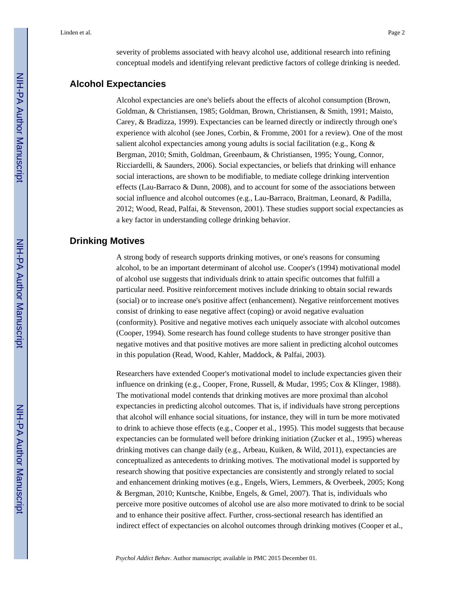severity of problems associated with heavy alcohol use, additional research into refining conceptual models and identifying relevant predictive factors of college drinking is needed.

#### **Alcohol Expectancies**

Alcohol expectancies are one's beliefs about the effects of alcohol consumption (Brown, Goldman, & Christiansen, 1985; Goldman, Brown, Christiansen, & Smith, 1991; Maisto, Carey, & Bradizza, 1999). Expectancies can be learned directly or indirectly through one's experience with alcohol (see Jones, Corbin, & Fromme, 2001 for a review). One of the most salient alcohol expectancies among young adults is social facilitation (e.g., Kong & Bergman, 2010; Smith, Goldman, Greenbaum, & Christiansen, 1995; Young, Connor, Ricciardelli, & Saunders, 2006). Social expectancies, or beliefs that drinking will enhance social interactions, are shown to be modifiable, to mediate college drinking intervention effects (Lau-Barraco & Dunn, 2008), and to account for some of the associations between social influence and alcohol outcomes (e.g., Lau-Barraco, Braitman, Leonard, & Padilla, 2012; Wood, Read, Palfai, & Stevenson, 2001). These studies support social expectancies as a key factor in understanding college drinking behavior.

# **Drinking Motives**

A strong body of research supports drinking motives, or one's reasons for consuming alcohol, to be an important determinant of alcohol use. Cooper's (1994) motivational model of alcohol use suggests that individuals drink to attain specific outcomes that fulfill a particular need. Positive reinforcement motives include drinking to obtain social rewards (social) or to increase one's positive affect (enhancement). Negative reinforcement motives consist of drinking to ease negative affect (coping) or avoid negative evaluation (conformity). Positive and negative motives each uniquely associate with alcohol outcomes (Cooper, 1994). Some research has found college students to have stronger positive than negative motives and that positive motives are more salient in predicting alcohol outcomes in this population (Read, Wood, Kahler, Maddock, & Palfai, 2003).

Researchers have extended Cooper's motivational model to include expectancies given their influence on drinking (e.g., Cooper, Frone, Russell, & Mudar, 1995; Cox & Klinger, 1988). The motivational model contends that drinking motives are more proximal than alcohol expectancies in predicting alcohol outcomes. That is, if individuals have strong perceptions that alcohol will enhance social situations, for instance, they will in turn be more motivated to drink to achieve those effects (e.g., Cooper et al., 1995). This model suggests that because expectancies can be formulated well before drinking initiation (Zucker et al., 1995) whereas drinking motives can change daily (e.g., Arbeau, Kuiken, & Wild, 2011), expectancies are conceptualized as antecedents to drinking motives. The motivational model is supported by research showing that positive expectancies are consistently and strongly related to social and enhancement drinking motives (e.g., Engels, Wiers, Lemmers, & Overbeek, 2005; Kong & Bergman, 2010; Kuntsche, Knibbe, Engels, & Gmel, 2007). That is, individuals who perceive more positive outcomes of alcohol use are also more motivated to drink to be social and to enhance their positive affect. Further, cross-sectional research has identified an indirect effect of expectancies on alcohol outcomes through drinking motives (Cooper et al.,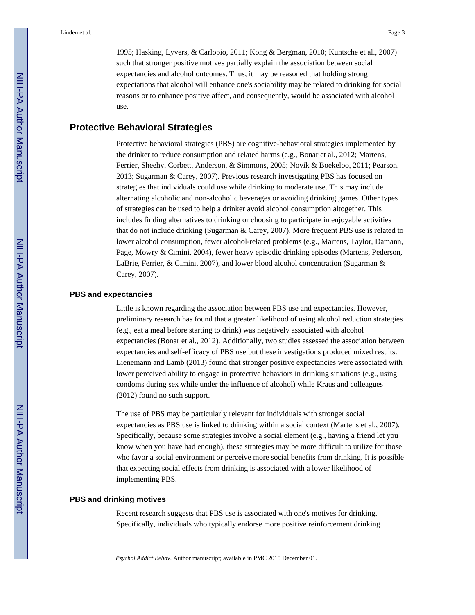1995; Hasking, Lyvers, & Carlopio, 2011; Kong & Bergman, 2010; Kuntsche et al., 2007) such that stronger positive motives partially explain the association between social expectancies and alcohol outcomes. Thus, it may be reasoned that holding strong expectations that alcohol will enhance one's sociability may be related to drinking for social reasons or to enhance positive affect, and consequently, would be associated with alcohol use.

# **Protective Behavioral Strategies**

Protective behavioral strategies (PBS) are cognitive-behavioral strategies implemented by the drinker to reduce consumption and related harms (e.g., Bonar et al., 2012; Martens, Ferrier, Sheehy, Corbett, Anderson, & Simmons, 2005; Novik & Boekeloo, 2011; Pearson, 2013; Sugarman & Carey, 2007). Previous research investigating PBS has focused on strategies that individuals could use while drinking to moderate use. This may include alternating alcoholic and non-alcoholic beverages or avoiding drinking games. Other types of strategies can be used to help a drinker avoid alcohol consumption altogether. This includes finding alternatives to drinking or choosing to participate in enjoyable activities that do not include drinking (Sugarman & Carey, 2007). More frequent PBS use is related to lower alcohol consumption, fewer alcohol-related problems (e.g., Martens, Taylor, Damann, Page, Mowry & Cimini, 2004), fewer heavy episodic drinking episodes (Martens, Pederson, LaBrie, Ferrier, & Cimini, 2007), and lower blood alcohol concentration (Sugarman & Carey, 2007).

### **PBS and expectancies**

Little is known regarding the association between PBS use and expectancies. However, preliminary research has found that a greater likelihood of using alcohol reduction strategies (e.g., eat a meal before starting to drink) was negatively associated with alcohol expectancies (Bonar et al., 2012). Additionally, two studies assessed the association between expectancies and self-efficacy of PBS use but these investigations produced mixed results. Lienemann and Lamb (2013) found that stronger positive expectancies were associated with lower perceived ability to engage in protective behaviors in drinking situations (e.g., using condoms during sex while under the influence of alcohol) while Kraus and colleagues (2012) found no such support.

The use of PBS may be particularly relevant for individuals with stronger social expectancies as PBS use is linked to drinking within a social context (Martens et al., 2007). Specifically, because some strategies involve a social element (e.g., having a friend let you know when you have had enough), these strategies may be more difficult to utilize for those who favor a social environment or perceive more social benefits from drinking. It is possible that expecting social effects from drinking is associated with a lower likelihood of implementing PBS.

#### **PBS and drinking motives**

Recent research suggests that PBS use is associated with one's motives for drinking. Specifically, individuals who typically endorse more positive reinforcement drinking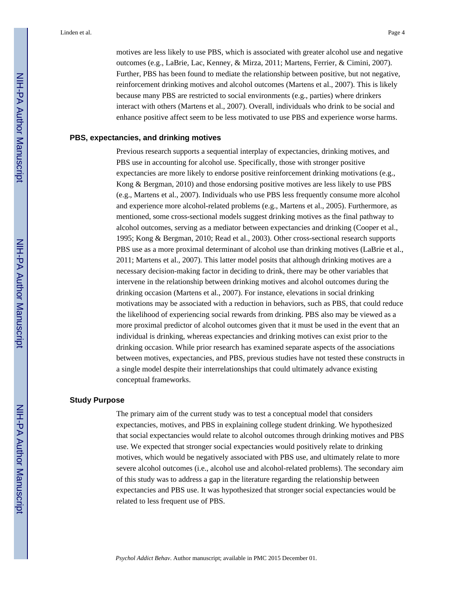motives are less likely to use PBS, which is associated with greater alcohol use and negative outcomes (e.g., LaBrie, Lac, Kenney, & Mirza, 2011; Martens, Ferrier, & Cimini, 2007). Further, PBS has been found to mediate the relationship between positive, but not negative, reinforcement drinking motives and alcohol outcomes (Martens et al., 2007). This is likely because many PBS are restricted to social environments (e.g., parties) where drinkers interact with others (Martens et al., 2007). Overall, individuals who drink to be social and enhance positive affect seem to be less motivated to use PBS and experience worse harms.

#### **PBS, expectancies, and drinking motives**

Previous research supports a sequential interplay of expectancies, drinking motives, and PBS use in accounting for alcohol use. Specifically, those with stronger positive expectancies are more likely to endorse positive reinforcement drinking motivations (e.g., Kong & Bergman, 2010) and those endorsing positive motives are less likely to use PBS (e.g., Martens et al., 2007). Individuals who use PBS less frequently consume more alcohol and experience more alcohol-related problems (e.g., Martens et al., 2005). Furthermore, as mentioned, some cross-sectional models suggest drinking motives as the final pathway to alcohol outcomes, serving as a mediator between expectancies and drinking (Cooper et al., 1995; Kong & Bergman, 2010; Read et al., 2003). Other cross-sectional research supports PBS use as a more proximal determinant of alcohol use than drinking motives (LaBrie et al., 2011; Martens et al., 2007). This latter model posits that although drinking motives are a necessary decision-making factor in deciding to drink, there may be other variables that intervene in the relationship between drinking motives and alcohol outcomes during the drinking occasion (Martens et al., 2007). For instance, elevations in social drinking motivations may be associated with a reduction in behaviors, such as PBS, that could reduce the likelihood of experiencing social rewards from drinking. PBS also may be viewed as a more proximal predictor of alcohol outcomes given that it must be used in the event that an individual is drinking, whereas expectancies and drinking motives can exist prior to the drinking occasion. While prior research has examined separate aspects of the associations between motives, expectancies, and PBS, previous studies have not tested these constructs in a single model despite their interrelationships that could ultimately advance existing conceptual frameworks.

#### **Study Purpose**

The primary aim of the current study was to test a conceptual model that considers expectancies, motives, and PBS in explaining college student drinking. We hypothesized that social expectancies would relate to alcohol outcomes through drinking motives and PBS use. We expected that stronger social expectancies would positively relate to drinking motives, which would be negatively associated with PBS use, and ultimately relate to more severe alcohol outcomes (i.e., alcohol use and alcohol-related problems). The secondary aim of this study was to address a gap in the literature regarding the relationship between expectancies and PBS use. It was hypothesized that stronger social expectancies would be related to less frequent use of PBS.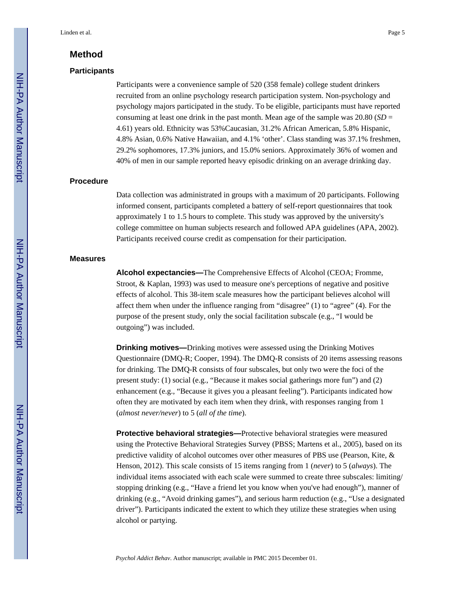# **Method**

#### **Participants**

Participants were a convenience sample of 520 (358 female) college student drinkers recruited from an online psychology research participation system. Non-psychology and psychology majors participated in the study. To be eligible, participants must have reported consuming at least one drink in the past month. Mean age of the sample was  $20.80$  ( $SD =$ 4.61) years old. Ethnicity was 53%Caucasian, 31.2% African American, 5.8% Hispanic, 4.8% Asian, 0.6% Native Hawaiian, and 4.1% 'other'. Class standing was 37.1% freshmen, 29.2% sophomores, 17.3% juniors, and 15.0% seniors. Approximately 36% of women and 40% of men in our sample reported heavy episodic drinking on an average drinking day.

#### **Procedure**

Data collection was administrated in groups with a maximum of 20 participants. Following informed consent, participants completed a battery of self-report questionnaires that took approximately 1 to 1.5 hours to complete. This study was approved by the university's college committee on human subjects research and followed APA guidelines (APA, 2002). Participants received course credit as compensation for their participation.

#### **Measures**

**Alcohol expectancies—**The Comprehensive Effects of Alcohol (CEOA; Fromme, Stroot, & Kaplan, 1993) was used to measure one's perceptions of negative and positive effects of alcohol. This 38-item scale measures how the participant believes alcohol will affect them when under the influence ranging from "disagree" (1) to "agree" (4). For the purpose of the present study, only the social facilitation subscale (e.g., "I would be outgoing") was included.

**Drinking motives—**Drinking motives were assessed using the Drinking Motives Questionnaire (DMQ-R; Cooper, 1994). The DMQ-R consists of 20 items assessing reasons for drinking. The DMQ-R consists of four subscales, but only two were the foci of the present study: (1) social (e.g., "Because it makes social gatherings more fun") and (2) enhancement (e.g., "Because it gives you a pleasant feeling"). Participants indicated how often they are motivated by each item when they drink, with responses ranging from 1 (*almost never/never*) to 5 (*all of the time*).

**Protective behavioral strategies—**Protective behavioral strategies were measured using the Protective Behavioral Strategies Survey (PBSS; Martens et al., 2005), based on its predictive validity of alcohol outcomes over other measures of PBS use (Pearson, Kite, & Henson, 2012). This scale consists of 15 items ranging from 1 (*never*) to 5 (*always*). The individual items associated with each scale were summed to create three subscales: limiting/ stopping drinking (e.g., "Have a friend let you know when you've had enough"), manner of drinking (e.g., "Avoid drinking games"), and serious harm reduction (e.g., "Use a designated driver"). Participants indicated the extent to which they utilize these strategies when using alcohol or partying.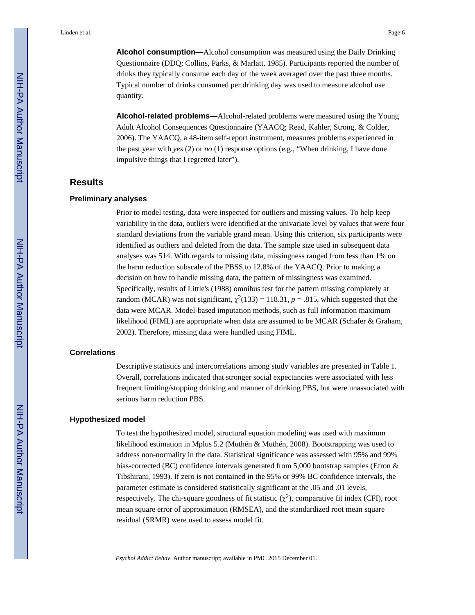**Alcohol consumption—**Alcohol consumption was measured using the Daily Drinking Questionnaire (DDQ; Collins, Parks, & Marlatt, 1985). Participants reported the number of drinks they typically consume each day of the week averaged over the past three months. Typical number of drinks consumed per drinking day was used to measure alcohol use quantity.

**Alcohol-related problems—**Alcohol-related problems were measured using the Young Adult Alcohol Consequences Questionnaire (YAACQ; Read, Kahler, Strong, & Colder, 2006). The YAACQ, a 48-item self-report instrument, measures problems experienced in the past year with *yes* (2) or *no* (1) response options (e.g., "When drinking, I have done impulsive things that I regretted later").

## **Results**

#### **Preliminary analyses**

Prior to model testing, data were inspected for outliers and missing values. To help keep variability in the data, outliers were identified at the univariate level by values that were four standard deviations from the variable grand mean. Using this criterion, six participants were identified as outliers and deleted from the data. The sample size used in subsequent data analyses was 514. With regards to missing data, missingness ranged from less than 1% on the harm reduction subscale of the PBSS to 12.8% of the YAACQ. Prior to making a decision on how to handle missing data, the pattern of missingness was examined. Specifically, results of Little's (1988) omnibus test for the pattern missing completely at random (MCAR) was not significant,  $\chi^2(133) = 118.31$ ,  $p = .815$ , which suggested that the data were MCAR. Model-based imputation methods, such as full information maximum likelihood (FIML) are appropriate when data are assumed to be MCAR (Schafer & Graham, 2002). Therefore, missing data were handled using FIML.

#### **Correlations**

Descriptive statistics and intercorrelations among study variables are presented in Table 1. Overall, correlations indicated that stronger social expectancies were associated with less frequent limiting/stopping drinking and manner of drinking PBS, but were unassociated with serious harm reduction PBS.

#### **Hypothesized model**

To test the hypothesized model, structural equation modeling was used with maximum likelihood estimation in Mplus 5.2 (Muthén & Muthén, 2008). Bootstrapping was used to address non-normality in the data. Statistical significance was assessed with 95% and 99% bias-corrected (BC) confidence intervals generated from 5,000 bootstrap samples (Efron & Tibshirani, 1993). If zero is not contained in the 95% or 99% BC confidence intervals, the parameter estimate is considered statistically significant at the .05 and .01 levels, respectively. The chi-square goodness of fit statistic  $(\chi^2)$ , comparative fit index (CFI), root mean square error of approximation (RMSEA), and the standardized root mean square residual (SRMR) were used to assess model fit.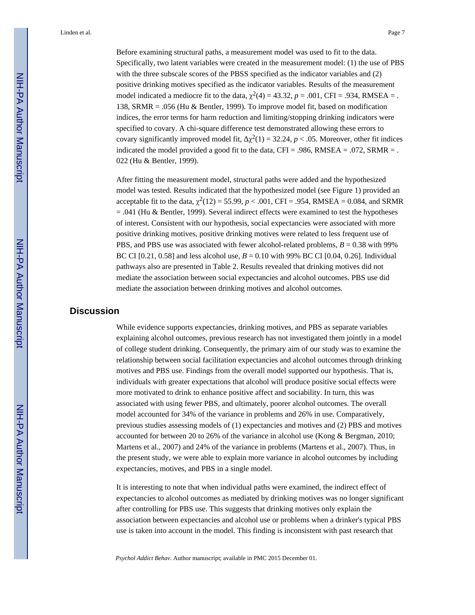Linden et al. Page 7

Before examining structural paths, a measurement model was used to fit to the data. Specifically, two latent variables were created in the measurement model: (1) the use of PBS with the three subscale scores of the PBSS specified as the indicator variables and (2) positive drinking motives specified as the indicator variables. Results of the measurement model indicated a mediocre fit to the data,  $\chi^2(4) = 43.32$ ,  $p = .001$ , CFI = .934, RMSEA = . 138, SRMR = .056 (Hu & Bentler, 1999). To improve model fit, based on modification indices, the error terms for harm reduction and limiting/stopping drinking indicators were specified to covary. A chi-square difference test demonstrated allowing these errors to covary significantly improved model fit,  $\chi^2(1) = 32.24$ ,  $p < .05$ . Moreover, other fit indices indicated the model provided a good fit to the data,  $CFI = .986$ ,  $RMSEA = .072$ ,  $SRMR = .$ 022 (Hu & Bentler, 1999).

After fitting the measurement model, structural paths were added and the hypothesized model was tested. Results indicated that the hypothesized model (see Figure 1) provided an acceptable fit to the data,  $\chi^2(12) = 55.99$ ,  $p < .001$ , CFI = .954, RMSEA = 0.084, and SRMR  $= .041$  (Hu & Bentler, 1999). Several indirect effects were examined to test the hypotheses of interest. Consistent with our hypothesis, social expectancies were associated with more positive drinking motives, positive drinking motives were related to less frequent use of PBS, and PBS use was associated with fewer alcohol-related problems, *B* = 0.38 with 99% BC CI  $[0.21, 0.58]$  and less alcohol use,  $B = 0.10$  with 99% BC CI  $[0.04, 0.26]$ . Individual pathways also are presented in Table 2. Results revealed that drinking motives did not mediate the association between social expectancies and alcohol outcomes. PBS use did mediate the association between drinking motives and alcohol outcomes.

#### **Discussion**

While evidence supports expectancies, drinking motives, and PBS as separate variables explaining alcohol outcomes, previous research has not investigated them jointly in a model of college student drinking. Consequently, the primary aim of our study was to examine the relationship between social facilitation expectancies and alcohol outcomes through drinking motives and PBS use. Findings from the overall model supported our hypothesis. That is, individuals with greater expectations that alcohol will produce positive social effects were more motivated to drink to enhance positive affect and sociability. In turn, this was associated with using fewer PBS, and ultimately, poorer alcohol outcomes. The overall model accounted for 34% of the variance in problems and 26% in use. Comparatively, previous studies assessing models of (1) expectancies and motives and (2) PBS and motives accounted for between 20 to 26% of the variance in alcohol use (Kong & Bergman, 2010; Martens et al., 2007) and 24% of the variance in problems (Martens et al., 2007). Thus, in the present study, we were able to explain more variance in alcohol outcomes by including expectancies, motives, and PBS in a single model.

It is interesting to note that when individual paths were examined, the indirect effect of expectancies to alcohol outcomes as mediated by drinking motives was no longer significant after controlling for PBS use. This suggests that drinking motives only explain the association between expectancies and alcohol use or problems when a drinker's typical PBS use is taken into account in the model. This finding is inconsistent with past research that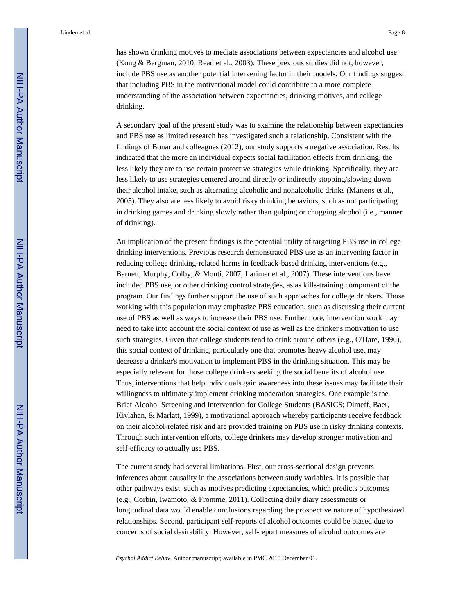Linden et al. Page 8

has shown drinking motives to mediate associations between expectancies and alcohol use (Kong & Bergman, 2010; Read et al., 2003). These previous studies did not, however, include PBS use as another potential intervening factor in their models. Our findings suggest that including PBS in the motivational model could contribute to a more complete understanding of the association between expectancies, drinking motives, and college drinking.

A secondary goal of the present study was to examine the relationship between expectancies and PBS use as limited research has investigated such a relationship. Consistent with the findings of Bonar and colleagues (2012), our study supports a negative association. Results indicated that the more an individual expects social facilitation effects from drinking, the less likely they are to use certain protective strategies while drinking. Specifically, they are less likely to use strategies centered around directly or indirectly stopping/slowing down their alcohol intake, such as alternating alcoholic and nonalcoholic drinks (Martens et al., 2005). They also are less likely to avoid risky drinking behaviors, such as not participating in drinking games and drinking slowly rather than gulping or chugging alcohol (i.e., manner of drinking).

An implication of the present findings is the potential utility of targeting PBS use in college drinking interventions. Previous research demonstrated PBS use as an intervening factor in reducing college drinking-related harms in feedback-based drinking interventions (e.g., Barnett, Murphy, Colby, & Monti, 2007; Larimer et al., 2007). These interventions have included PBS use, or other drinking control strategies, as as kills-training component of the program. Our findings further support the use of such approaches for college drinkers. Those working with this population may emphasize PBS education, such as discussing their current use of PBS as well as ways to increase their PBS use. Furthermore, intervention work may need to take into account the social context of use as well as the drinker's motivation to use such strategies. Given that college students tend to drink around others (e.g., O'Hare, 1990), this social context of drinking, particularly one that promotes heavy alcohol use, may decrease a drinker's motivation to implement PBS in the drinking situation. This may be especially relevant for those college drinkers seeking the social benefits of alcohol use. Thus, interventions that help individuals gain awareness into these issues may facilitate their willingness to ultimately implement drinking moderation strategies. One example is the Brief Alcohol Screening and Intervention for College Students (BASICS; Dimeff, Baer, Kivlahan, & Marlatt, 1999), a motivational approach whereby participants receive feedback on their alcohol-related risk and are provided training on PBS use in risky drinking contexts. Through such intervention efforts, college drinkers may develop stronger motivation and self-efficacy to actually use PBS.

The current study had several limitations. First, our cross-sectional design prevents inferences about causality in the associations between study variables. It is possible that other pathways exist, such as motives predicting expectancies, which predicts outcomes (e.g., Corbin, Iwamoto, & Fromme, 2011). Collecting daily diary assessments or longitudinal data would enable conclusions regarding the prospective nature of hypothesized relationships. Second, participant self-reports of alcohol outcomes could be biased due to concerns of social desirability. However, self-report measures of alcohol outcomes are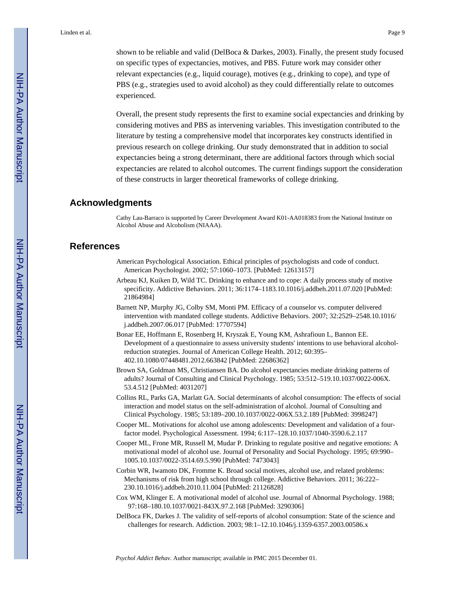shown to be reliable and valid (DelBoca & Darkes, 2003). Finally, the present study focused on specific types of expectancies, motives, and PBS. Future work may consider other relevant expectancies (e.g., liquid courage), motives (e.g., drinking to cope), and type of PBS (e.g., strategies used to avoid alcohol) as they could differentially relate to outcomes experienced.

Overall, the present study represents the first to examine social expectancies and drinking by considering motives and PBS as intervening variables. This investigation contributed to the literature by testing a comprehensive model that incorporates key constructs identified in previous research on college drinking. Our study demonstrated that in addition to social expectancies being a strong determinant, there are additional factors through which social expectancies are related to alcohol outcomes. The current findings support the consideration of these constructs in larger theoretical frameworks of college drinking.

#### **Acknowledgments**

Cathy Lau-Barraco is supported by Career Development Award K01-AA018383 from the National Institute on Alcohol Abuse and Alcoholism (NIAAA).

#### **References**

- American Psychological Association. Ethical principles of psychologists and code of conduct. American Psychologist. 2002; 57:1060–1073. [PubMed: 12613157]
- Arbeau KJ, Kuiken D, Wild TC. Drinking to enhance and to cope: A daily process study of motive specificity. Addictive Behaviors. 2011; 36:1174–1183.10.1016/j.addbeh.2011.07.020 [PubMed: 21864984]
- Barnett NP, Murphy JG, Colby SM, Monti PM. Efficacy of a counselor vs. computer delivered intervention with mandated college students. Addictive Behaviors. 2007; 32:2529–2548.10.1016/ j.addbeh.2007.06.017 [PubMed: 17707594]
- Bonar EE, Hoffmann E, Rosenberg H, Kryszak E, Young KM, Ashrafioun L, Bannon EE. Development of a questionnaire to assess university students' intentions to use behavioral alcoholreduction strategies. Journal of American College Health. 2012; 60:395– 402.10.1080/07448481.2012.663842 [PubMed: 22686362]
- Brown SA, Goldman MS, Christiansen BA. Do alcohol expectancies mediate drinking patterns of adults? Journal of Consulting and Clinical Psychology. 1985; 53:512–519.10.1037/0022-006X. 53.4.512 [PubMed: 4031207]
- Collins RL, Parks GA, Marlatt GA. Social determinants of alcohol consumption: The effects of social interaction and model status on the self-administration of alcohol. Journal of Consulting and Clinical Psychology. 1985; 53:189–200.10.1037/0022-006X.53.2.189 [PubMed: 3998247]
- Cooper ML. Motivations for alcohol use among adolescents: Development and validation of a fourfactor model. Psychological Assessment. 1994; 6:117–128.10.1037/1040-3590.6.2.117
- Cooper ML, Frone MR, Russell M, Mudar P. Drinking to regulate positive and negative emotions: A motivational model of alcohol use. Journal of Personality and Social Psychology. 1995; 69:990– 1005.10.1037/0022-3514.69.5.990 [PubMed: 7473043]
- Corbin WR, Iwamoto DK, Fromme K. Broad social motives, alcohol use, and related problems: Mechanisms of risk from high school through college. Addictive Behaviors. 2011; 36:222– 230.10.1016/j.addbeh.2010.11.004 [PubMed: 21126828]
- Cox WM, Klinger E. A motivational model of alcohol use. Journal of Abnormal Psychology. 1988; 97:168–180.10.1037/0021-843X.97.2.168 [PubMed: 3290306]
- DelBoca FK, Darkes J. The validity of self-reports of alcohol consumption: State of the science and challenges for research. Addiction. 2003; 98:1–12.10.1046/j.1359-6357.2003.00586.x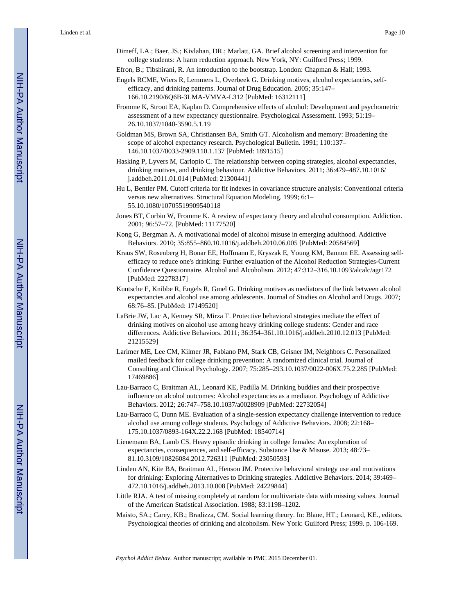- Dimeff, LA.; Baer, JS.; Kivlahan, DR.; Marlatt, GA. Brief alcohol screening and intervention for college students: A harm reduction approach. New York, NY: Guilford Press; 1999.
- Efron, B.; Tibshirani, R. An introduction to the bootstrap. London: Chapman & Hall; 1993.
- Engels RCME, Wiers R, Lemmers L, Overbeek G. Drinking motives, alcohol expectancies, selfefficacy, and drinking patterns. Journal of Drug Education. 2005; 35:147– 166.10.2190/6Q6B-3LMA-VMVA-L312 [PubMed: 16312111]
- Fromme K, Stroot EA, Kaplan D. Comprehensive effects of alcohol: Development and psychometric assessment of a new expectancy questionnaire. Psychological Assessment. 1993; 51:19– 26.10.1037/1040-3590.5.1.19
- Goldman MS, Brown SA, Christiansen BA, Smith GT. Alcoholism and memory: Broadening the scope of alcohol expectancy research. Psychological Bulletin. 1991; 110:137– 146.10.1037/0033-2909.110.1.137 [PubMed: 1891515]
- Hasking P, Lyvers M, Carlopio C. The relationship between coping strategies, alcohol expectancies, drinking motives, and drinking behaviour. Addictive Behaviors. 2011; 36:479–487.10.1016/ j.addbeh.2011.01.014 [PubMed: 21300441]
- Hu L, Bentler PM. Cutoff criteria for fit indexes in covariance structure analysis: Conventional criteria versus new alternatives. Structural Equation Modeling. 1999; 6:1– 55.10.1080/10705519909540118
- Jones BT, Corbin W, Fromme K. A review of expectancy theory and alcohol consumption. Addiction. 2001; 96:57–72. [PubMed: 11177520]
- Kong G, Bergman A. A motivational model of alcohol misuse in emerging adulthood. Addictive Behaviors. 2010; 35:855–860.10.1016/j.addbeh.2010.06.005 [PubMed: 20584569]
- Kraus SW, Rosenberg H, Bonar EE, Hoffmann E, Kryszak E, Young KM, Bannon EE. Assessing selfefficacy to reduce one's drinking: Further evaluation of the Alcohol Reduction Strategies-Current Confidence Questionnaire. Alcohol and Alcoholism. 2012; 47:312–316.10.1093/alcalc/agr172 [PubMed: 22278317]
- Kuntsche E, Knibbe R, Engels R, Gmel G. Drinking motives as mediators of the link between alcohol expectancies and alcohol use among adolescents. Journal of Studies on Alcohol and Drugs. 2007; 68:76–85. [PubMed: 17149520]
- LaBrie JW, Lac A, Kenney SR, Mirza T. Protective behavioral strategies mediate the effect of drinking motives on alcohol use among heavy drinking college students: Gender and race differences. Addictive Behaviors. 2011; 36:354–361.10.1016/j.addbeh.2010.12.013 [PubMed: 21215529]
- Larimer ME, Lee CM, Kilmer JR, Fabiano PM, Stark CB, Geisner IM, Neighbors C. Personalized mailed feedback for college drinking prevention: A randomized clinical trial. Journal of Consulting and Clinical Psychology. 2007; 75:285–293.10.1037/0022-006X.75.2.285 [PubMed: 17469886]
- Lau-Barraco C, Braitman AL, Leonard KE, Padilla M. Drinking buddies and their prospective influence on alcohol outcomes: Alcohol expectancies as a mediator. Psychology of Addictive Behaviors. 2012; 26:747–758.10.1037/a0028909 [PubMed: 22732054]
- Lau-Barraco C, Dunn ME. Evaluation of a single-session expectancy challenge intervention to reduce alcohol use among college students. Psychology of Addictive Behaviors. 2008; 22:168– 175.10.1037/0893-164X.22.2.168 [PubMed: 18540714]
- Lienemann BA, Lamb CS. Heavy episodic drinking in college females: An exploration of expectancies, consequences, and self-efficacy. Substance Use & Misuse. 2013; 48:73– 81.10.3109/10826084.2012.726311 [PubMed: 23050593]
- Linden AN, Kite BA, Braitman AL, Henson JM. Protective behavioral strategy use and motivations for drinking: Exploring Alternatives to Drinking strategies. Addictive Behaviors. 2014; 39:469– 472.10.1016/j.addbeh.2013.10.008 [PubMed: 24229844]
- Little RJA. A test of missing completely at random for multivariate data with missing values. Journal of the American Statistical Association. 1988; 83:1198–1202.
- Maisto, SA.; Carey, KB.; Bradizza, CM. Social learning theory. In: Blane, HT.; Leonard, KE., editors. Psychological theories of drinking and alcoholism. New York: Guilford Press; 1999. p. 106-169.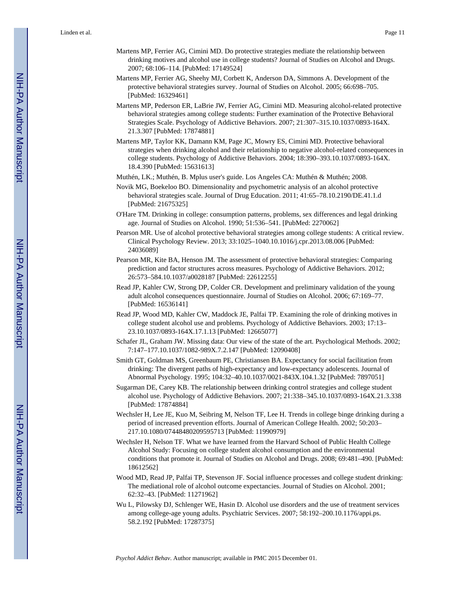- Martens MP, Ferrier AG, Cimini MD. Do protective strategies mediate the relationship between drinking motives and alcohol use in college students? Journal of Studies on Alcohol and Drugs. 2007; 68:106–114. [PubMed: 17149524]
- Martens MP, Ferrier AG, Sheehy MJ, Corbett K, Anderson DA, Simmons A. Development of the protective behavioral strategies survey. Journal of Studies on Alcohol. 2005; 66:698–705. [PubMed: 16329461]
- Martens MP, Pederson ER, LaBrie JW, Ferrier AG, Cimini MD. Measuring alcohol-related protective behavioral strategies among college students: Further examination of the Protective Behavioral Strategies Scale. Psychology of Addictive Behaviors. 2007; 21:307–315.10.1037/0893-164X. 21.3.307 [PubMed: 17874881]
- Martens MP, Taylor KK, Damann KM, Page JC, Mowry ES, Cimini MD. Protective behavioral strategies when drinking alcohol and their relationship to negative alcohol-related consequences in college students. Psychology of Addictive Behaviors. 2004; 18:390–393.10.1037/0893-164X. 18.4.390 [PubMed: 15631613]

Muthén, LK.; Muthén, B. Mplus user's guide. Los Angeles CA: Muthén & Muthén; 2008.

- Novik MG, Boekeloo BO. Dimensionality and psychometric analysis of an alcohol protective behavioral strategies scale. Journal of Drug Education. 2011; 41:65–78.10.2190/DE.41.1.d [PubMed: 21675325]
- O'Hare TM. Drinking in college: consumption patterns, problems, sex differences and legal drinking age. Journal of Studies on Alcohol. 1990; 51:536–541. [PubMed: 2270062]
- Pearson MR. Use of alcohol protective behavioral strategies among college students: A critical review. Clinical Psychology Review. 2013; 33:1025–1040.10.1016/j.cpr.2013.08.006 [PubMed: 24036089]
- Pearson MR, Kite BA, Henson JM. The assessment of protective behavioral strategies: Comparing prediction and factor structures across measures. Psychology of Addictive Behaviors. 2012; 26:573–584.10.1037/a0028187 [PubMed: 22612255]
- Read JP, Kahler CW, Strong DP, Colder CR. Development and preliminary validation of the young adult alcohol consequences questionnaire. Journal of Studies on Alcohol. 2006; 67:169–77. [PubMed: 16536141]
- Read JP, Wood MD, Kahler CW, Maddock JE, Palfai TP. Examining the role of drinking motives in college student alcohol use and problems. Psychology of Addictive Behaviors. 2003; 17:13– 23.10.1037/0893-164X.17.1.13 [PubMed: 12665077]
- Schafer JL, Graham JW. Missing data: Our view of the state of the art. Psychological Methods. 2002; 7:147–177.10.1037/1082-989X.7.2.147 [PubMed: 12090408]
- Smith GT, Goldman MS, Greenbaum PE, Christiansen BA. Expectancy for social facilitation from drinking: The divergent paths of high-expectancy and low-expectancy adolescents. Journal of Abnormal Psychology. 1995; 104:32–40.10.1037/0021-843X.104.1.32 [PubMed: 7897051]
- Sugarman DE, Carey KB. The relationship between drinking control strategies and college student alcohol use. Psychology of Addictive Behaviors. 2007; 21:338–345.10.1037/0893-164X.21.3.338 [PubMed: 17874884]
- Wechsler H, Lee JE, Kuo M, Seibring M, Nelson TF, Lee H. Trends in college binge drinking during a period of increased prevention efforts. Journal of American College Health. 2002; 50:203– 217.10.1080/07448480209595713 [PubMed: 11990979]
- Wechsler H, Nelson TF. What we have learned from the Harvard School of Public Health College Alcohol Study: Focusing on college student alcohol consumption and the environmental conditions that promote it. Journal of Studies on Alcohol and Drugs. 2008; 69:481–490. [PubMed: 18612562]
- Wood MD, Read JP, Palfai TP, Stevenson JF. Social influence processes and college student drinking: The mediational role of alcohol outcome expectancies. Journal of Studies on Alcohol. 2001; 62:32–43. [PubMed: 11271962]
- Wu L, Pilowsky DJ, Schlenger WE, Hasin D. Alcohol use disorders and the use of treatment services among college-age young adults. Psychiatric Services. 2007; 58:192–200.10.1176/appi.ps. 58.2.192 [PubMed: 17287375]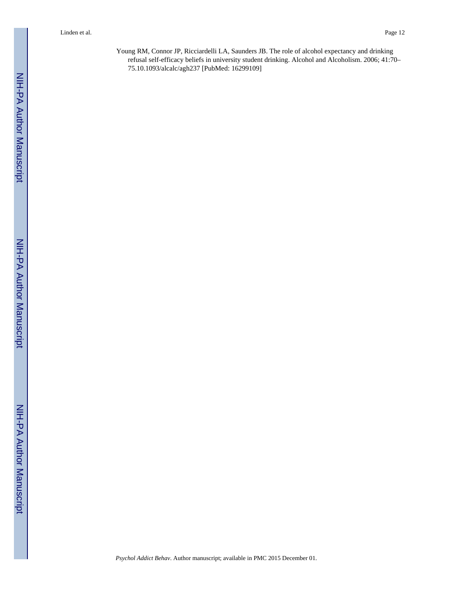Young RM, Connor JP, Ricciardelli LA, Saunders JB. The role of alcohol expectancy and drinking refusal self-efficacy beliefs in university student drinking. Alcohol and Alcoholism. 2006; 41:70– 75.10.1093/alcalc/agh237 [PubMed: 16299109]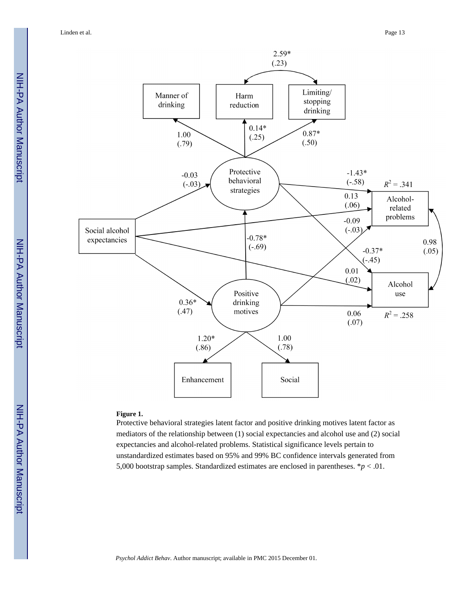Linden et al. Page 13



#### **Figure 1.**

Protective behavioral strategies latent factor and positive drinking motives latent factor as mediators of the relationship between (1) social expectancies and alcohol use and (2) social expectancies and alcohol-related problems. Statistical significance levels pertain to unstandardized estimates based on 95% and 99% BC confidence intervals generated from 5,000 bootstrap samples. Standardized estimates are enclosed in parentheses. \**p* < .01.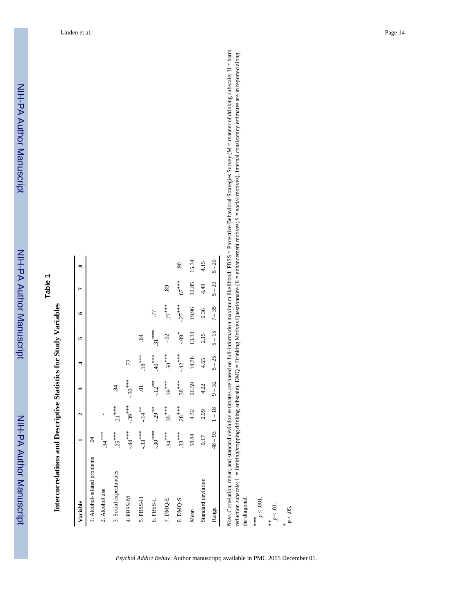| ¢ |  |
|---|--|
|   |  |
|   |  |
|   |  |
|   |  |
|   |  |
|   |  |

Intercorrelations and Descriptive Statistics for Study Variables **Intercorrelations and Descriptive Statistics for Study Variables**

| $5 - 20$<br>15.34<br>4.15<br>$\overline{6}$<br>∞<br>$.67***$<br>$5 - 20$<br>12.85<br>4.49<br>89<br>᠇<br>$-27***$<br>$-27***$<br>$7 - 35$<br>19.96<br>6.36<br>77<br>۰<br>$31***$<br>$5 - 15$<br>$^{*}60^{-}$<br>13.33<br>2.15<br>$-0.02$<br>$\ddot{q}$<br>in,<br>$-.50***$<br>$-42***$<br>$40^{***}$<br>$18***$<br>$5 - 25$<br>14.78<br>4.65<br>72<br>$-.30***$<br>$.39***$<br>$.38***$<br>$-12**$<br>$9 - 32$<br>26.59<br>4.22<br>84<br>ą<br>$-.39***$<br>$28***$<br>$21***$<br>$.35***$<br>$-14**$<br>$-.29$ **<br>$1 - 18$<br>2.99<br>4.32<br>u<br>$48 - 93$<br>$-44**$<br>$-.30***$<br>$-.33***$<br>$.34***$<br>$25***$<br>$.34***$<br>$.33***$<br>58.84<br>9.17<br>$\overline{5}$<br>1. Alcohol-related problems<br>3. Social expectancies<br>Standard deviation<br>2. Alcohol use<br>4. PBSS-M<br>5. PBSS-H<br>7. DMQ-E<br>6. PBSS-L<br>8. DMQ-S<br>Variable<br>Range<br>Mean |                     |  |  |  |  |
|------------------------------------------------------------------------------------------------------------------------------------------------------------------------------------------------------------------------------------------------------------------------------------------------------------------------------------------------------------------------------------------------------------------------------------------------------------------------------------------------------------------------------------------------------------------------------------------------------------------------------------------------------------------------------------------------------------------------------------------------------------------------------------------------------------------------------------------------------------------------------------|---------------------|--|--|--|--|
|                                                                                                                                                                                                                                                                                                                                                                                                                                                                                                                                                                                                                                                                                                                                                                                                                                                                                    |                     |  |  |  |  |
|                                                                                                                                                                                                                                                                                                                                                                                                                                                                                                                                                                                                                                                                                                                                                                                                                                                                                    |                     |  |  |  |  |
|                                                                                                                                                                                                                                                                                                                                                                                                                                                                                                                                                                                                                                                                                                                                                                                                                                                                                    |                     |  |  |  |  |
|                                                                                                                                                                                                                                                                                                                                                                                                                                                                                                                                                                                                                                                                                                                                                                                                                                                                                    |                     |  |  |  |  |
|                                                                                                                                                                                                                                                                                                                                                                                                                                                                                                                                                                                                                                                                                                                                                                                                                                                                                    |                     |  |  |  |  |
|                                                                                                                                                                                                                                                                                                                                                                                                                                                                                                                                                                                                                                                                                                                                                                                                                                                                                    |                     |  |  |  |  |
|                                                                                                                                                                                                                                                                                                                                                                                                                                                                                                                                                                                                                                                                                                                                                                                                                                                                                    |                     |  |  |  |  |
|                                                                                                                                                                                                                                                                                                                                                                                                                                                                                                                                                                                                                                                                                                                                                                                                                                                                                    |                     |  |  |  |  |
|                                                                                                                                                                                                                                                                                                                                                                                                                                                                                                                                                                                                                                                                                                                                                                                                                                                                                    |                     |  |  |  |  |
|                                                                                                                                                                                                                                                                                                                                                                                                                                                                                                                                                                                                                                                                                                                                                                                                                                                                                    |                     |  |  |  |  |
|                                                                                                                                                                                                                                                                                                                                                                                                                                                                                                                                                                                                                                                                                                                                                                                                                                                                                    |                     |  |  |  |  |
|                                                                                                                                                                                                                                                                                                                                                                                                                                                                                                                                                                                                                                                                                                                                                                                                                                                                                    |                     |  |  |  |  |
|                                                                                                                                                                                                                                                                                                                                                                                                                                                                                                                                                                                                                                                                                                                                                                                                                                                                                    | the diagonal.       |  |  |  |  |
| reduction subscale; L = limiting/stopping drinking subscale); DMQ = Drinking Motives Questionnaire (E = enhancement motives; S = social motives). Internal consistency estimates are in reported along                                                                                                                                                                                                                                                                                                                                                                                                                                                                                                                                                                                                                                                                             | $p < .001$ .<br>*** |  |  |  |  |
|                                                                                                                                                                                                                                                                                                                                                                                                                                                                                                                                                                                                                                                                                                                                                                                                                                                                                    | $p < 01$ .<br>$*$   |  |  |  |  |
|                                                                                                                                                                                                                                                                                                                                                                                                                                                                                                                                                                                                                                                                                                                                                                                                                                                                                    | $p < .05$ .         |  |  |  |  |